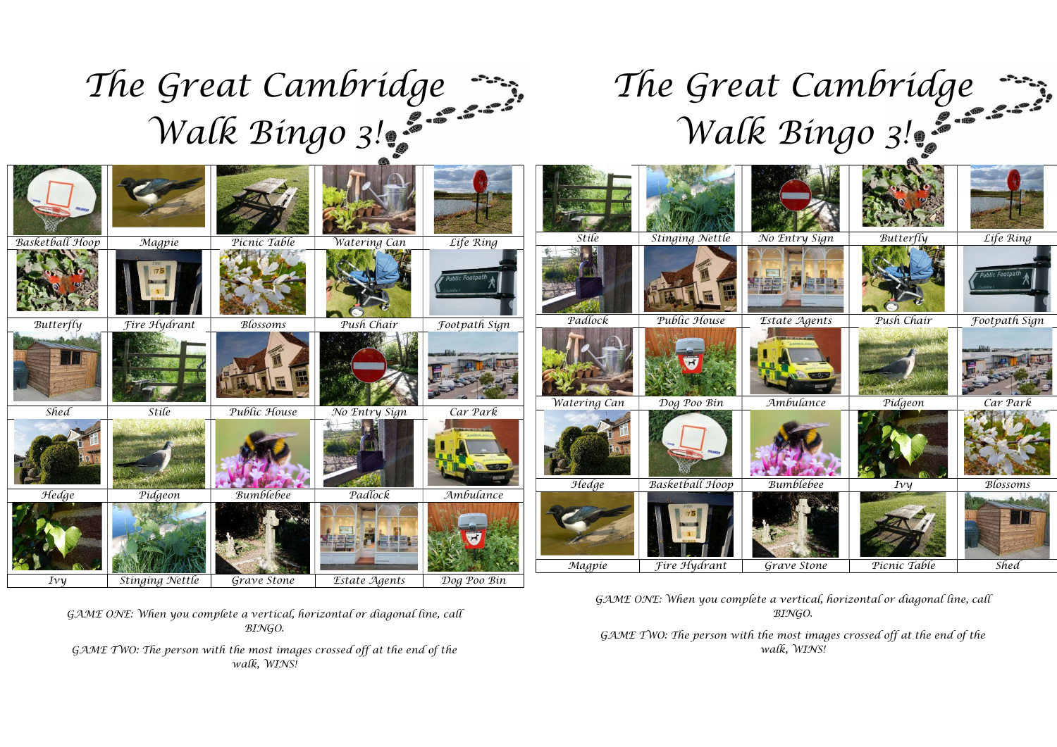## The Great Cambridge  $T<sub>k</sub>$ Walk Bingo 3!

## The Great Cambridge Walk Bingo 3!

| Basketball Hoop  | Magpie              | Picnic Table     | Watering Can  | Life Ring     | Stíle        | Stinging Nettle        | No Entry Sign | $But ter \overline{f} \overline{f} \overline{f}$ | Life Ring     |
|------------------|---------------------|------------------|---------------|---------------|--------------|------------------------|---------------|--------------------------------------------------|---------------|
|                  |                     |                  |               | hlic Footpa   |              |                        |               |                                                  |               |
| <b>Butterfly</b> | Fire Hydrant        | Blossoms         | Push Chair    | Footpath Sign | Padlock      | Public House           | Estate Agents | Push Chair                                       | Footpath Sign |
| <b>E</b>         |                     |                  |               |               |              |                        |               |                                                  |               |
| Shed             | <i><b>Stile</b></i> | Public House     | No Entry Sign | Car Park      | Watering Can | Dog Poo Bin            | Ambulance     | Pidgeon                                          | Car Park      |
|                  |                     |                  |               |               |              |                        |               |                                                  |               |
| Hedge            | Pidgeon             | <b>Bumblebee</b> | Padlock       | Ambulance     | Hedge        | <b>Basketball Hoop</b> | Bumblebee     | $I\nu \nu$                                       | Blossoms      |
|                  |                     |                  |               | H             |              |                        |               |                                                  |               |
|                  |                     |                  |               |               | Magpie       | Fire Hydrant           | Grave Stone   | Picnic Table                                     | Shed          |
| $I\nu\gamma$     | Stinging Nettle     | Grave Stone      | Estate Agents | Dog Poo Bin   |              |                        |               |                                                  |               |

GAME ONE: When you complete a vertical, horizontal or diagonal line, call BINGO.

GAME TWO: The person with the most images crossed off at the end of the walk, WINS!

GAME ONE: When you complete a vertical, horizontal or diagonal line, call BINGO.

GAME TWO: The person with the most images crossed off at the end of the walk, WINS!